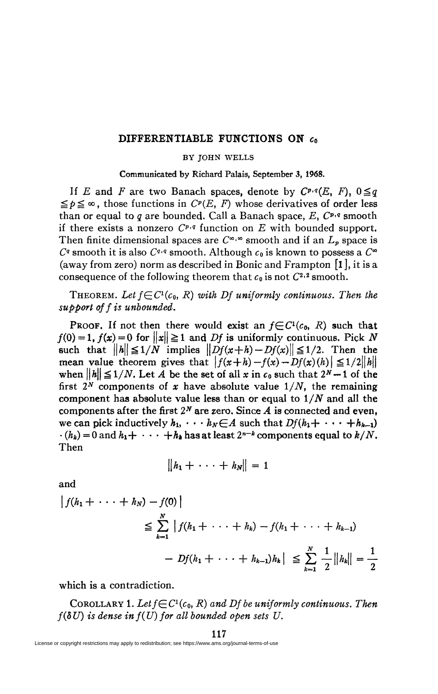## **DIFFERENTIABLE FUNCTIONS ON** *c<sup>0</sup>*

## BY JOHN WELLS

**Communicated by Richard Palais, September 3, 1968.** 

If *E* and *F* are two Banach spaces, denote by  $C^{p,q}(E, F)$ ,  $0 \leq q$  $\leq p \leq \infty$ , those functions in  $C^p(E, F)$  whose derivatives of order less than or equal to *q* are bounded. Call a Banach space,  $E$ ,  $C^{p,q}$  smooth if there exists a nonzero *Cp,q* function on *E* with bounded support. Then finite dimensional spaces are  $C^{\infty,\infty}$  smooth and if an  $L_p$  space is  $C<sup>q</sup>$  smooth it is also  $C<sup>q,q</sup>$  smooth. Although  $c_0$  is known to possess a  $C<sup>∞</sup>$ (away from zero) norm as described in Bonic and Frampton  $\begin{bmatrix} 1 \end{bmatrix}$ , it is a consequence of the following theorem that  $c_0$  is not  $C^{2,2}$  smooth.

THEOREM. Let  $f \in C^1(c_0, R)$  with Df uniformly continuous. Then the *support off is unbounded.* 

**PROOF.** If not then there would exist an  $f \in C^1(c_0, R)$  such that  $f(0) = 1$ ,  $f(x) = 0$  for  $||x|| \ge 1$  and *Df* is uniformly continuous. Pick N such that  $||h|| \leq 1/N$  implies  $||Df(x+h)-Df(x)|| \leq 1/2$ . Then the mean value theorem gives that  $|f(x+h)-f(x)-Df(x)(h)| \leq 1/2\|h\|$ when  $||h|| \leq 1/N$ . Let A be the set of all x in  $c_0$  such that  $2^N - 1$  of the first  $2^N$  components of x have absolute value  $1/N$ , the remaining component has absolute value less than or equal to *1/N* and all the components after the first  $2^N$  are zero. Since  $A$  is connected and even, we can pick inductively  $h_1$ ,  $\cdots$   $h_N \in A$  such that  $Df(h_1 + \cdots + h_{k-1})$  $\cdot$  ( $h_k$ ) = 0 and  $h_1$  +  $\cdot \cdot \cdot$  + $h_k$  has at least  $2^{n-k}$  components equal to  $k/N$ . Then

$$
||h_1 + \cdots + h_N|| = 1
$$

and

$$
\begin{aligned} \left| f(h_1 + \dots + h_N) - f(0) \right| \\ &\leq \sum_{k=1}^N \left| f(h_1 + \dots + h_k) - f(h_1 + \dots + h_{k-1}) \right| \\ &\quad - Df(h_1 + \dots + h_{k-1})h_k \left| \right. \leq \sum_{k=1}^N \frac{1}{2} \left\| h_k \right\| = \frac{1}{2} \end{aligned}
$$

which is a contradiction.

COROLLARY 1. Let  $f \in C^1(c_0, R)$  and Df be uniformly continuous. Then  $f(\delta U)$  is dense in  $f(U)$  for all bounded open sets U.